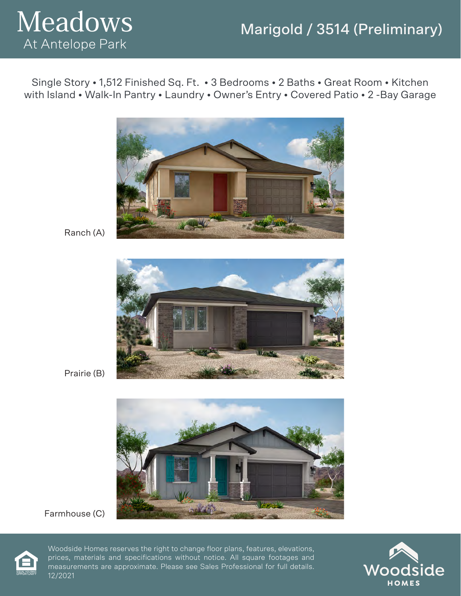



Single Story • 1,512 Finished Sq. Ft. • 3 Bedrooms • 2 Baths • Great Room • Kitchen with Island • Walk-In Pantry • Laundry • Owner's Entry • Covered Patio • 2 -Bay Garage



Ranch (A)



Prairie (B)



Farmhouse (C)



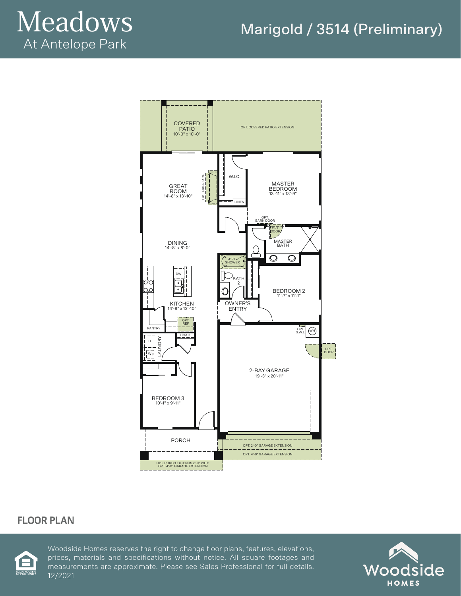

### Marigold / 3514 (Preliminary)



### **FLOOR PLAN**



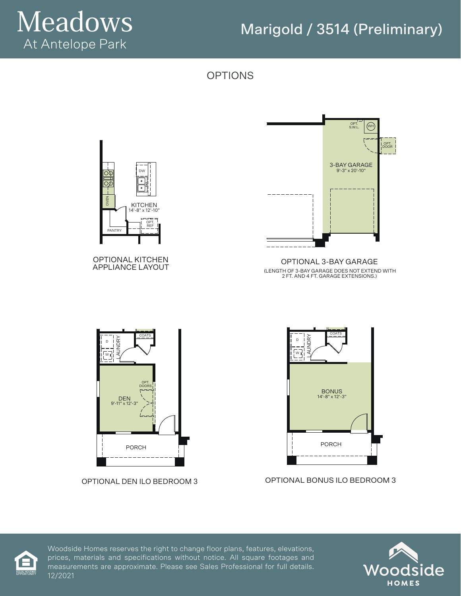# Meadows At Antelope Park

# Marigold / 3514 (Preliminary)

OPTIONS





OPTIONAL DEN ILO BEDROOM 3

#### OPTIONAL BONUS ILO BEDROOM 3

PORCH